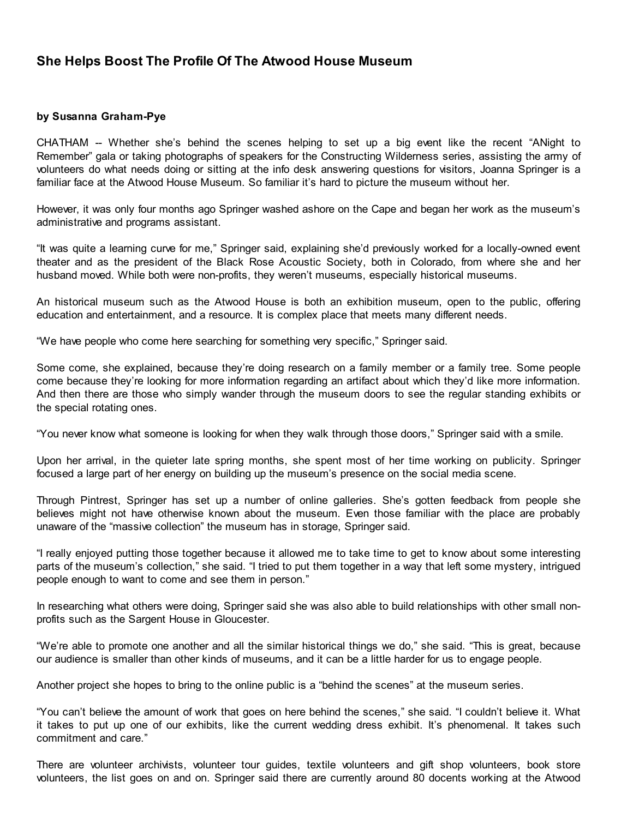## She Helps Boost The Profile Of The Atwood House Museum

## by Susanna Graham-Pye

CHATHAM -- Whether she's behind the scenes helping to set up a big event like the recent "ANight to Remember" gala or taking photographs of speakers for the Constructing Wilderness series, assisting the army of volunteers do what needs doing or sitting at the info desk answering questions for visitors, Joanna Springer is a familiar face at the Atwood House Museum. So familiar it's hard to picture the museum without her.

However, it was only four months ago Springer washed ashore on the Cape and began her work as the museum's administrative and programs assistant.

"It was quite a learning curve for me," Springer said, explaining she'd previously worked for a locally-owned event theater and as the president of the Black Rose Acoustic Society, both in Colorado, from where she and her husband moved. While both were non-profits, they weren't museums, especially historical museums.

An historical museum such as the Atwood House is both an exhibition museum, open to the public, offering education and entertainment, and a resource. It is complex place that meets many different needs.

"We have people who come here searching for something very specific," Springer said.

Some come, she explained, because they're doing research on a family member or a family tree. Some people come because they're looking for more information regarding an artifact about which they'd like more information. And then there are those who simply wander through the museum doors to see the regular standing exhibits or the special rotating ones.

"You never know what someone is looking for when they walk through those doors," Springer said with a smile.

Upon her arrival, in the quieter late spring months, she spent most of her time working on publicity. Springer focused a large part of her energy on building up the museum's presence on the social media scene.

Through Pintrest, Springer has set up a number of online galleries. She's gotten feedback from people she believes might not have otherwise known about the museum. Even those familiar with the place are probably unaware of the "massive collection" the museum has in storage, Springer said.

"I really enjoyed putting those together because it allowed me to take time to get to know about some interesting parts of the museum's collection," she said. "I tried to put them together in a way that left some mystery, intrigued people enough to want to come and see them in person."

In researching what others were doing, Springer said she was also able to build relationships with other small nonprofits such as the Sargent House in Gloucester.

"We're able to promote one another and all the similar historical things we do," she said. "This is great, because our audience is smaller than other kinds of museums, and it can be a little harder for us to engage people.

Another project she hopes to bring to the online public is a "behind the scenes" at the museum series.

"You can't believe the amount of work that goes on here behind the scenes," she said. "I couldn't believe it. What it takes to put up one of our exhibits, like the current wedding dress exhibit. It's phenomenal. It takes such commitment and care."

There are volunteer archivists, volunteer tour guides, textile volunteers and gift shop volunteers, book store volunteers, the list goes on and on. Springer said there are currently around 80 docents working at the Atwood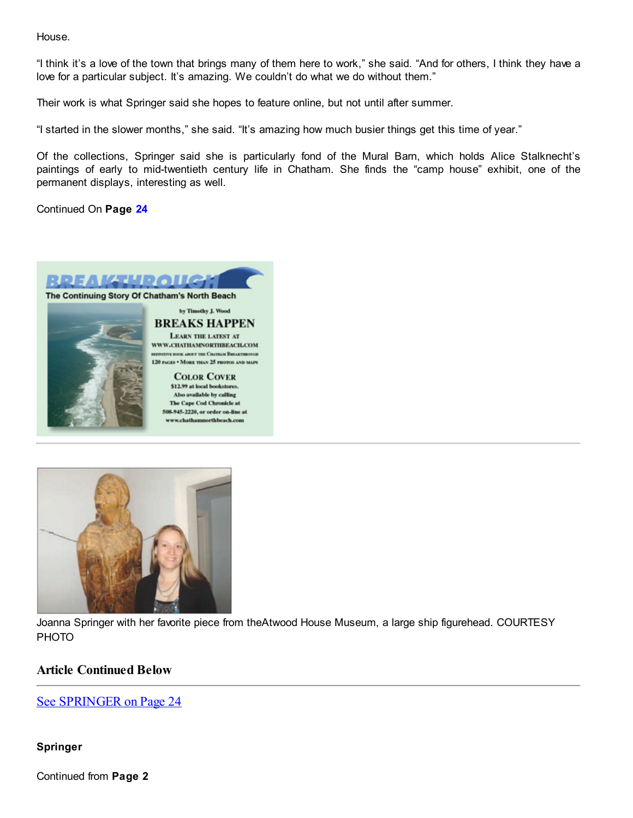House.

"I think it's a love of the town that brings many of them here to work," she said. "And for others, I think they have a love for a particular subject. It's amazing. We couldn't do what we do without them."

Their work is what Springer said she hopes to feature online, but not until after summer.

"I started in the slower months," she said. "It's amazing how much busier things get this time of year."

Of the collections, Springer said she is particularly fond of the Mural Barn, which holds Alice Stalknecht's paintings of early to mid-twentieth century life in Chatham. She finds the "camp house" exhibit, one of the permanent displays, interesting as well.

Continued On Page [24](javascript:parent.contents.gotoPage("A","24");)





Joanna Springer with her favorite piece from theAtwood House Museum, a large ship figurehead. COURTESY PHOTO

## Article Continued Below

## See [SPRINGER](javascript:parent.contents.setPJumpName("SPRINGER");javascript:parent.contents.setPJumpDirection("1");javascript:parent.contents.gotoPage("A","24");) on Page 24

Springer

Continued from Page 2